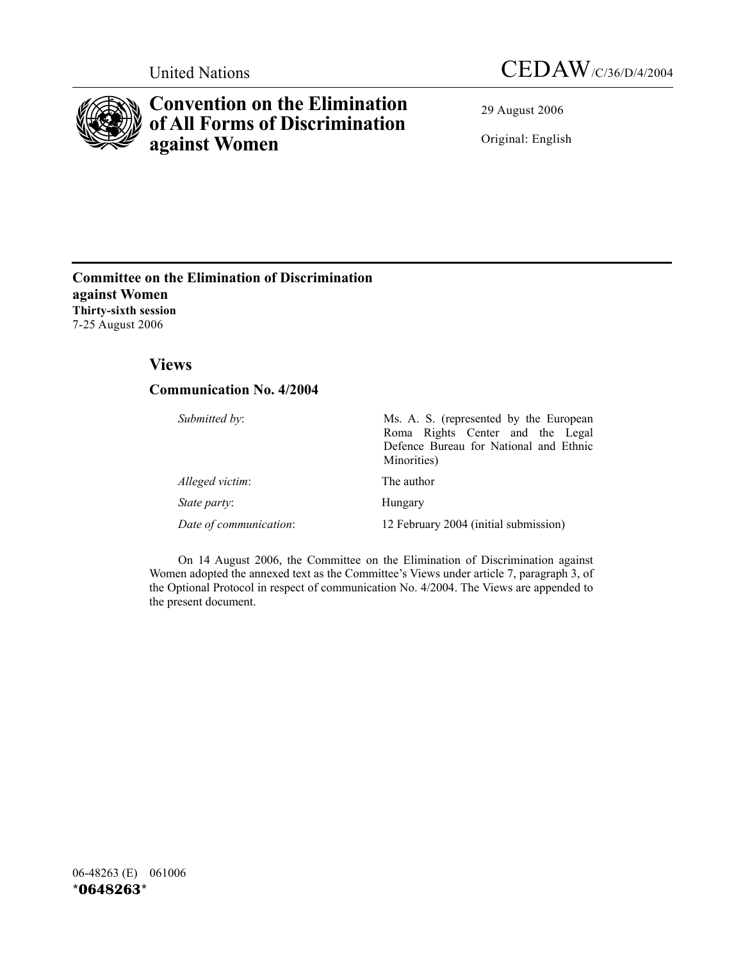

# **Convention on the Elimination of All Forms of Discrimination against Women**

29 August 2006

Original: English

**Committee on the Elimination of Discrimination against Women Thirty-sixth session**  7-25 August 2006

## **Views**

## **Communication No. 4/2004**

| Submitted by:          | Ms. A. S. (represented by the European<br>Roma Rights Center and the Legal<br>Defence Bureau for National and Ethnic<br>Minorities) |
|------------------------|-------------------------------------------------------------------------------------------------------------------------------------|
| Alleged victim:        | The author                                                                                                                          |
| <i>State party:</i>    | Hungary                                                                                                                             |
| Date of communication: | 12 February 2004 (initial submission)                                                                                               |

 On 14 August 2006, the Committee on the Elimination of Discrimination against Women adopted the annexed text as the Committee's Views under article 7, paragraph 3, of the Optional Protocol in respect of communication No. 4/2004. The Views are appended to the present document.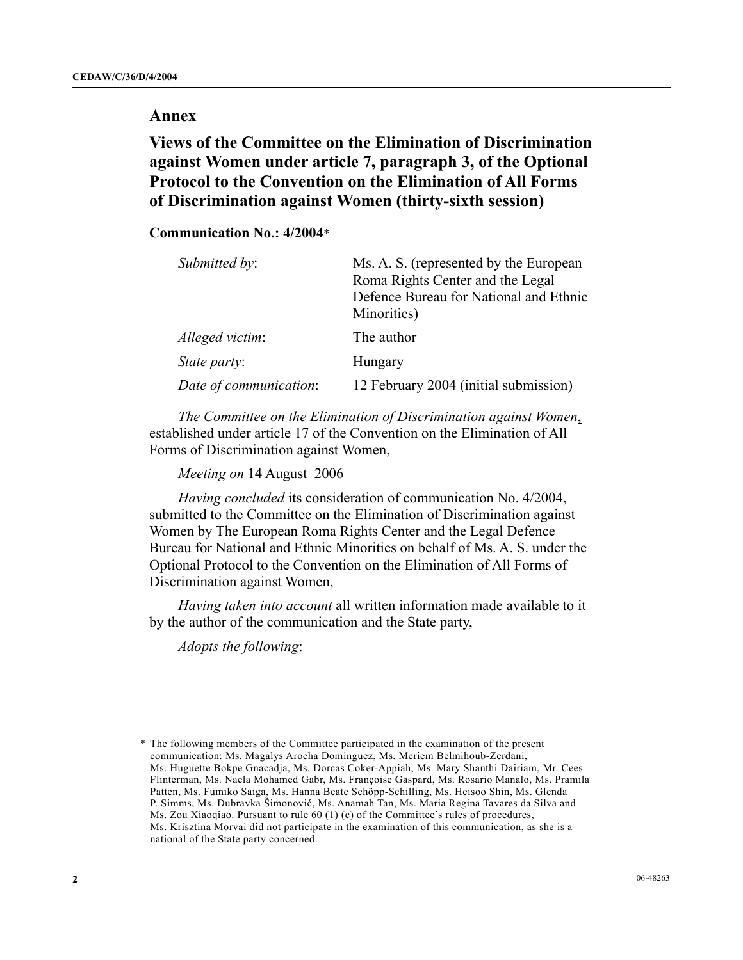## **Annex**

## **Views of the Committee on the Elimination of Discrimination against Women under article 7, paragraph 3, of the Optional Protocol to the Convention on the Elimination of All Forms of Discrimination against Women (thirty-sixth session)**

## **Communication No.: 4/2004**\*

| Submitted by:          | Ms. A. S. (represented by the European<br>Roma Rights Center and the Legal<br>Defence Bureau for National and Ethnic<br>Minorities) |
|------------------------|-------------------------------------------------------------------------------------------------------------------------------------|
| Alleged victim:        | The author                                                                                                                          |
| <i>State party:</i>    | Hungary                                                                                                                             |
| Date of communication: | 12 February 2004 (initial submission)                                                                                               |

 *The Committee on the Elimination of Discrimination against Women*, established under article 17 of the Convention on the Elimination of All Forms of Discrimination against Women,

#### *Meeting on* 14 August 2006

 *Having concluded* its consideration of communication No. 4/2004, submitted to the Committee on the Elimination of Discrimination against Women by The European Roma Rights Center and the Legal Defence Bureau for National and Ethnic Minorities on behalf of Ms. A. S. under the Optional Protocol to the Convention on the Elimination of All Forms of Discrimination against Women,

 *Having taken into account* all written information made available to it by the author of the communication and the State party,

 *Adopts the following*:

 <sup>\*</sup> The following members of the Committee participated in the examination of the present communication: Ms. Magalys Arocha Dominguez, Ms. Meriem Belmihoub-Zerdani, Ms. Huguette Bokpe Gnacadja, Ms. Dorcas Coker-Appiah, Ms. Mary Shanthi Dairiam, Mr. Cees Flinterman, Ms. Naela Mohamed Gabr, Ms. Françoise Gaspard, Ms. Rosario Manalo, Ms. Pramila Patten, Ms. Fumiko Saiga, Ms. Hanna Beate Schöpp-Schilling, Ms. Heisoo Shin, Ms. Glenda P. Simms, Ms. Dubravka Šimonović, Ms. Anamah Tan, Ms. Maria Regina Tavares da Silva and Ms. Zou Xiaoqiao. Pursuant to rule 60 (1) (c) of the Committee's rules of procedures, Ms. Krisztina Morvai did not participate in the examination of this communication, as she is a national of the State party concerned.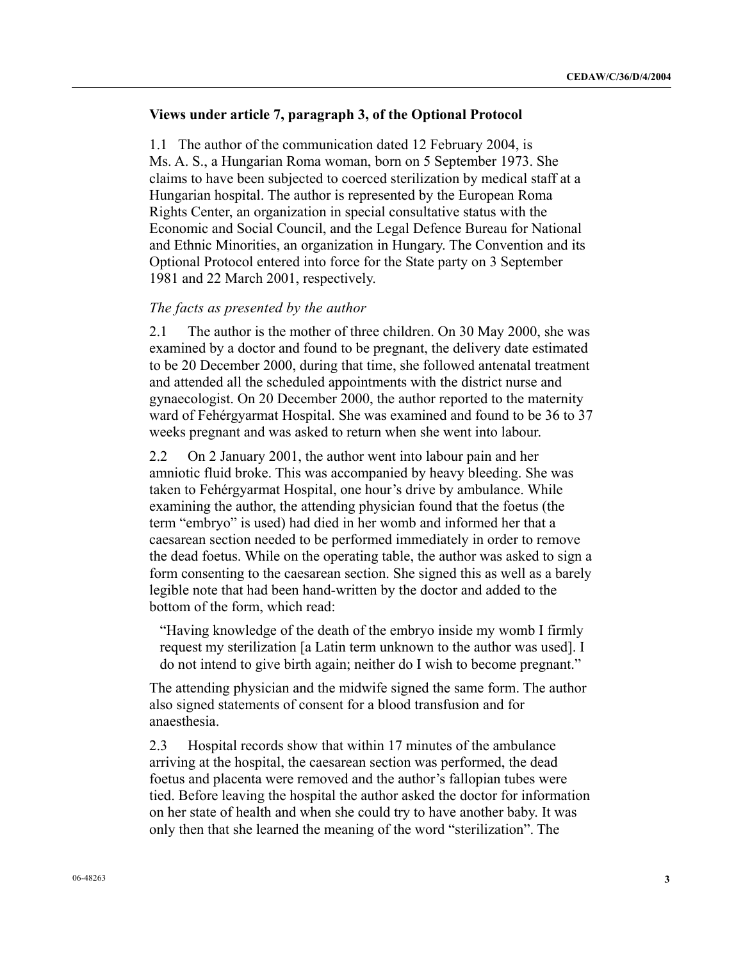## **Views under article 7, paragraph 3, of the Optional Protocol**

1.1 The author of the communication dated 12 February 2004, is Ms. A. S., a Hungarian Roma woman, born on 5 September 1973. She claims to have been subjected to coerced sterilization by medical staff at a Hungarian hospital. The author is represented by the European Roma Rights Center, an organization in special consultative status with the Economic and Social Council, and the Legal Defence Bureau for National and Ethnic Minorities, an organization in Hungary. The Convention and its Optional Protocol entered into force for the State party on 3 September 1981 and 22 March 2001, respectively.

#### *The facts as presented by the author*

2.1 The author is the mother of three children. On 30 May 2000, she was examined by a doctor and found to be pregnant, the delivery date estimated to be 20 December 2000, during that time, she followed antenatal treatment and attended all the scheduled appointments with the district nurse and gynaecologist. On 20 December 2000, the author reported to the maternity ward of Fehérgyarmat Hospital. She was examined and found to be 36 to 37 weeks pregnant and was asked to return when she went into labour.

2.2 On 2 January 2001, the author went into labour pain and her amniotic fluid broke. This was accompanied by heavy bleeding. She was taken to Fehérgyarmat Hospital, one hour's drive by ambulance. While examining the author, the attending physician found that the foetus (the term "embryo" is used) had died in her womb and informed her that a caesarean section needed to be performed immediately in order to remove the dead foetus. While on the operating table, the author was asked to sign a form consenting to the caesarean section. She signed this as well as a barely legible note that had been hand-written by the doctor and added to the bottom of the form, which read:

"Having knowledge of the death of the embryo inside my womb I firmly request my sterilization [a Latin term unknown to the author was used]. I do not intend to give birth again; neither do I wish to become pregnant."

The attending physician and the midwife signed the same form. The author also signed statements of consent for a blood transfusion and for anaesthesia.

2.3 Hospital records show that within 17 minutes of the ambulance arriving at the hospital, the caesarean section was performed, the dead foetus and placenta were removed and the author's fallopian tubes were tied. Before leaving the hospital the author asked the doctor for information on her state of health and when she could try to have another baby. It was only then that she learned the meaning of the word "sterilization". The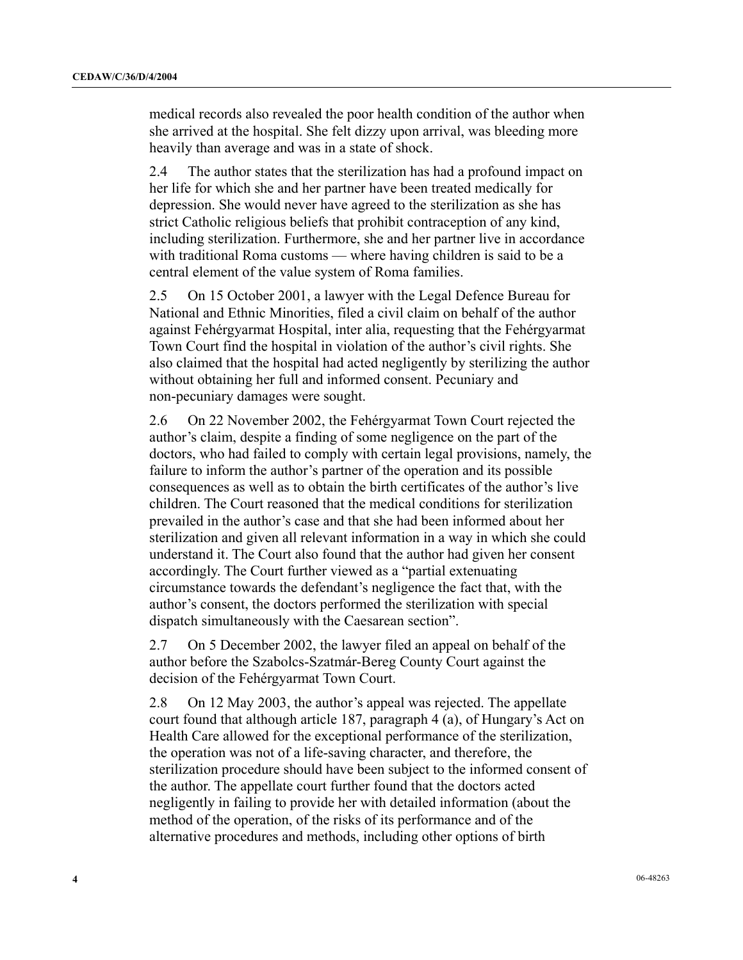medical records also revealed the poor health condition of the author when she arrived at the hospital. She felt dizzy upon arrival, was bleeding more heavily than average and was in a state of shock.

2.4 The author states that the sterilization has had a profound impact on her life for which she and her partner have been treated medically for depression. She would never have agreed to the sterilization as she has strict Catholic religious beliefs that prohibit contraception of any kind, including sterilization. Furthermore, she and her partner live in accordance with traditional Roma customs — where having children is said to be a central element of the value system of Roma families.

2.5 On 15 October 2001, a lawyer with the Legal Defence Bureau for National and Ethnic Minorities, filed a civil claim on behalf of the author against Fehérgyarmat Hospital, inter alia, requesting that the Fehérgyarmat Town Court find the hospital in violation of the author's civil rights. She also claimed that the hospital had acted negligently by sterilizing the author without obtaining her full and informed consent. Pecuniary and non-pecuniary damages were sought.

2.6 On 22 November 2002, the Fehérgyarmat Town Court rejected the author's claim, despite a finding of some negligence on the part of the doctors, who had failed to comply with certain legal provisions, namely, the failure to inform the author's partner of the operation and its possible consequences as well as to obtain the birth certificates of the author's live children. The Court reasoned that the medical conditions for sterilization prevailed in the author's case and that she had been informed about her sterilization and given all relevant information in a way in which she could understand it. The Court also found that the author had given her consent accordingly. The Court further viewed as a "partial extenuating circumstance towards the defendant's negligence the fact that, with the author's consent, the doctors performed the sterilization with special dispatch simultaneously with the Caesarean section".

2.7 On 5 December 2002, the lawyer filed an appeal on behalf of the author before the Szabolcs-Szatmár-Bereg County Court against the decision of the Fehérgyarmat Town Court.

2.8 On 12 May 2003, the author's appeal was rejected. The appellate court found that although article 187, paragraph 4 (a), of Hungary's Act on Health Care allowed for the exceptional performance of the sterilization, the operation was not of a life-saving character, and therefore, the sterilization procedure should have been subject to the informed consent of the author. The appellate court further found that the doctors acted negligently in failing to provide her with detailed information (about the method of the operation, of the risks of its performance and of the alternative procedures and methods, including other options of birth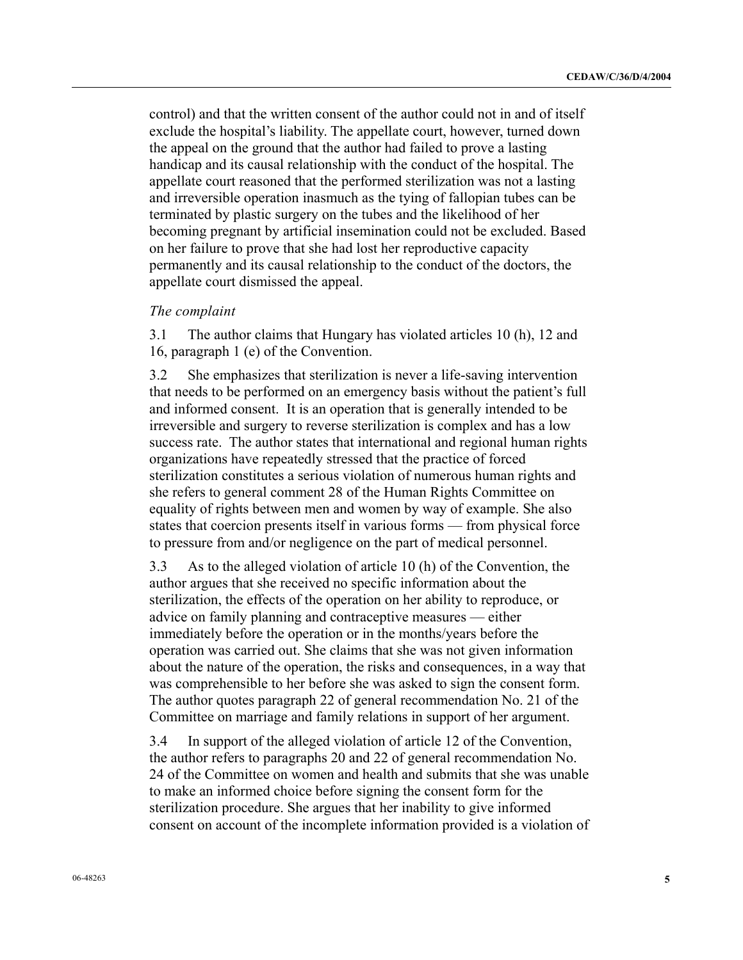control) and that the written consent of the author could not in and of itself exclude the hospital's liability. The appellate court, however, turned down the appeal on the ground that the author had failed to prove a lasting handicap and its causal relationship with the conduct of the hospital. The appellate court reasoned that the performed sterilization was not a lasting and irreversible operation inasmuch as the tying of fallopian tubes can be terminated by plastic surgery on the tubes and the likelihood of her becoming pregnant by artificial insemination could not be excluded. Based on her failure to prove that she had lost her reproductive capacity permanently and its causal relationship to the conduct of the doctors, the appellate court dismissed the appeal.

#### *The complaint*

3.1 The author claims that Hungary has violated articles 10 (h), 12 and 16, paragraph 1 (e) of the Convention.

3.2 She emphasizes that sterilization is never a life-saving intervention that needs to be performed on an emergency basis without the patient's full and informed consent. It is an operation that is generally intended to be irreversible and surgery to reverse sterilization is complex and has a low success rate. The author states that international and regional human rights organizations have repeatedly stressed that the practice of forced sterilization constitutes a serious violation of numerous human rights and she refers to general comment 28 of the Human Rights Committee on equality of rights between men and women by way of example. She also states that coercion presents itself in various forms — from physical force to pressure from and/or negligence on the part of medical personnel.

3.3 As to the alleged violation of article 10 (h) of the Convention, the author argues that she received no specific information about the sterilization, the effects of the operation on her ability to reproduce, or advice on family planning and contraceptive measures — either immediately before the operation or in the months/years before the operation was carried out. She claims that she was not given information about the nature of the operation, the risks and consequences, in a way that was comprehensible to her before she was asked to sign the consent form. The author quotes paragraph 22 of general recommendation No. 21 of the Committee on marriage and family relations in support of her argument.

3.4 In support of the alleged violation of article 12 of the Convention, the author refers to paragraphs 20 and 22 of general recommendation No. 24 of the Committee on women and health and submits that she was unable to make an informed choice before signing the consent form for the sterilization procedure. She argues that her inability to give informed consent on account of the incomplete information provided is a violation of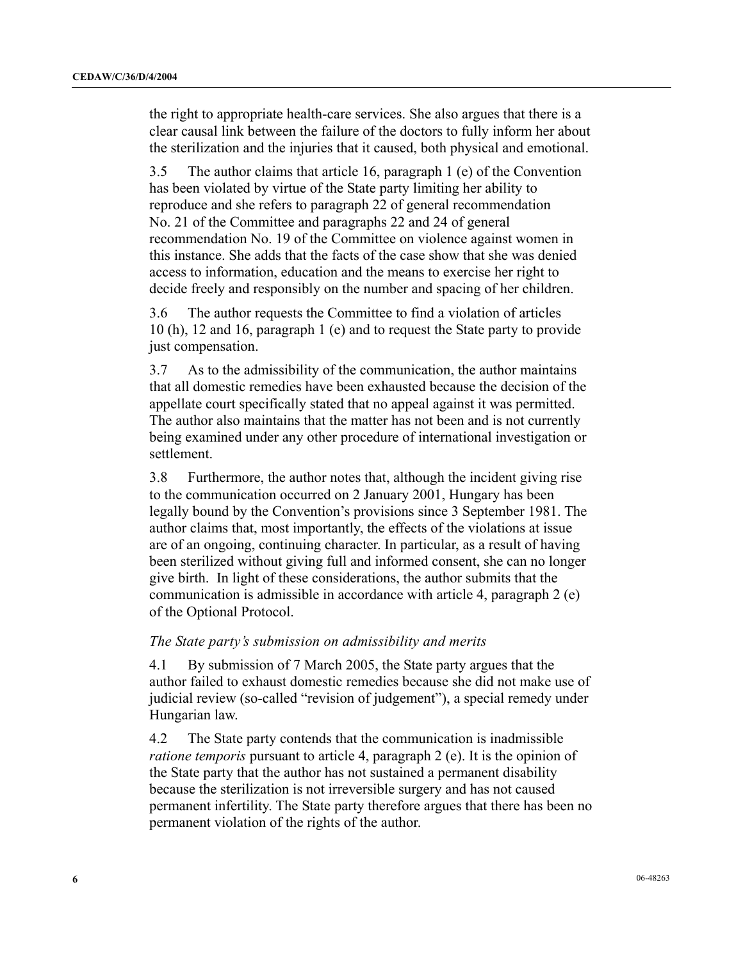the right to appropriate health-care services. She also argues that there is a clear causal link between the failure of the doctors to fully inform her about the sterilization and the injuries that it caused, both physical and emotional.

3.5 The author claims that article 16, paragraph 1 (e) of the Convention has been violated by virtue of the State party limiting her ability to reproduce and she refers to paragraph 22 of general recommendation No. 21 of the Committee and paragraphs 22 and 24 of general recommendation No. 19 of the Committee on violence against women in this instance. She adds that the facts of the case show that she was denied access to information, education and the means to exercise her right to decide freely and responsibly on the number and spacing of her children.

3.6 The author requests the Committee to find a violation of articles 10 (h), 12 and 16, paragraph 1 (e) and to request the State party to provide just compensation.

3.7 As to the admissibility of the communication, the author maintains that all domestic remedies have been exhausted because the decision of the appellate court specifically stated that no appeal against it was permitted. The author also maintains that the matter has not been and is not currently being examined under any other procedure of international investigation or settlement.

3.8 Furthermore, the author notes that, although the incident giving rise to the communication occurred on 2 January 2001, Hungary has been legally bound by the Convention's provisions since 3 September 1981. The author claims that, most importantly, the effects of the violations at issue are of an ongoing, continuing character. In particular, as a result of having been sterilized without giving full and informed consent, she can no longer give birth. In light of these considerations, the author submits that the communication is admissible in accordance with article 4, paragraph 2 (e) of the Optional Protocol.

#### *The State party's submission on admissibility and merits*

4.1 By submission of 7 March 2005, the State party argues that the author failed to exhaust domestic remedies because she did not make use of judicial review (so-called "revision of judgement"), a special remedy under Hungarian law.

4.2 The State party contends that the communication is inadmissible *ratione temporis* pursuant to article 4, paragraph 2 (e). It is the opinion of the State party that the author has not sustained a permanent disability because the sterilization is not irreversible surgery and has not caused permanent infertility. The State party therefore argues that there has been no permanent violation of the rights of the author.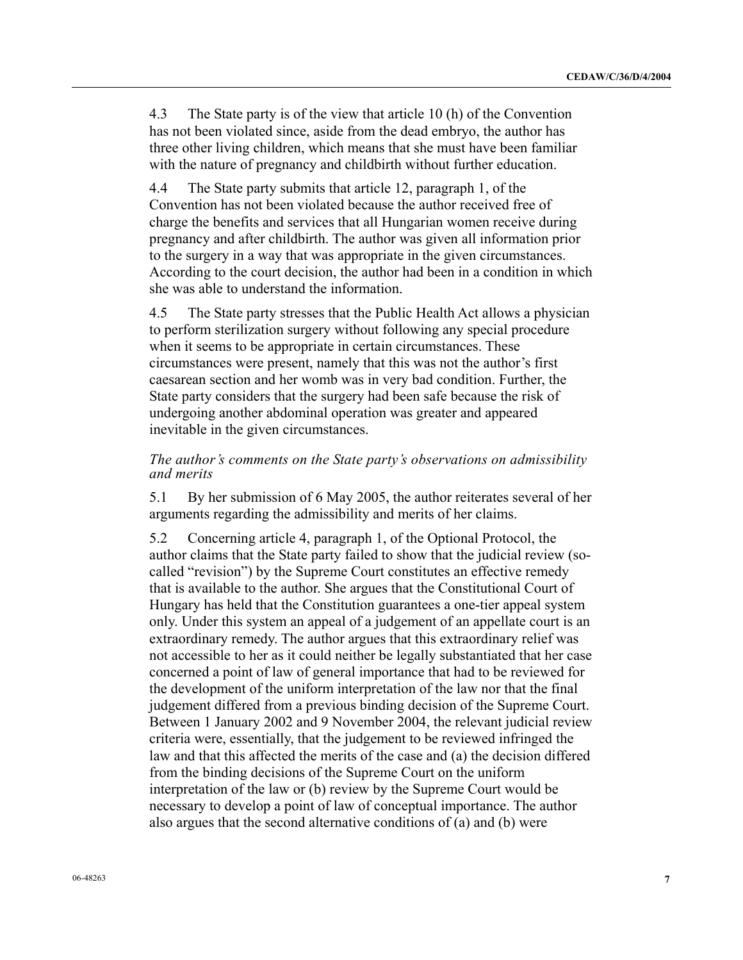4.3 The State party is of the view that article 10 (h) of the Convention has not been violated since, aside from the dead embryo, the author has three other living children, which means that she must have been familiar with the nature of pregnancy and childbirth without further education.

4.4 The State party submits that article 12, paragraph 1, of the Convention has not been violated because the author received free of charge the benefits and services that all Hungarian women receive during pregnancy and after childbirth. The author was given all information prior to the surgery in a way that was appropriate in the given circumstances. According to the court decision, the author had been in a condition in which she was able to understand the information.

4.5 The State party stresses that the Public Health Act allows a physician to perform sterilization surgery without following any special procedure when it seems to be appropriate in certain circumstances. These circumstances were present, namely that this was not the author's first caesarean section and her womb was in very bad condition. Further, the State party considers that the surgery had been safe because the risk of undergoing another abdominal operation was greater and appeared inevitable in the given circumstances.

## *The author's comments on the State party's observations on admissibility and merits*

5.1 By her submission of 6 May 2005, the author reiterates several of her arguments regarding the admissibility and merits of her claims.

5.2 Concerning article 4, paragraph 1, of the Optional Protocol, the author claims that the State party failed to show that the judicial review (socalled "revision") by the Supreme Court constitutes an effective remedy that is available to the author. She argues that the Constitutional Court of Hungary has held that the Constitution guarantees a one-tier appeal system only. Under this system an appeal of a judgement of an appellate court is an extraordinary remedy. The author argues that this extraordinary relief was not accessible to her as it could neither be legally substantiated that her case concerned a point of law of general importance that had to be reviewed for the development of the uniform interpretation of the law nor that the final judgement differed from a previous binding decision of the Supreme Court. Between 1 January 2002 and 9 November 2004, the relevant judicial review criteria were, essentially, that the judgement to be reviewed infringed the law and that this affected the merits of the case and (a) the decision differed from the binding decisions of the Supreme Court on the uniform interpretation of the law or (b) review by the Supreme Court would be necessary to develop a point of law of conceptual importance. The author also argues that the second alternative conditions of (a) and (b) were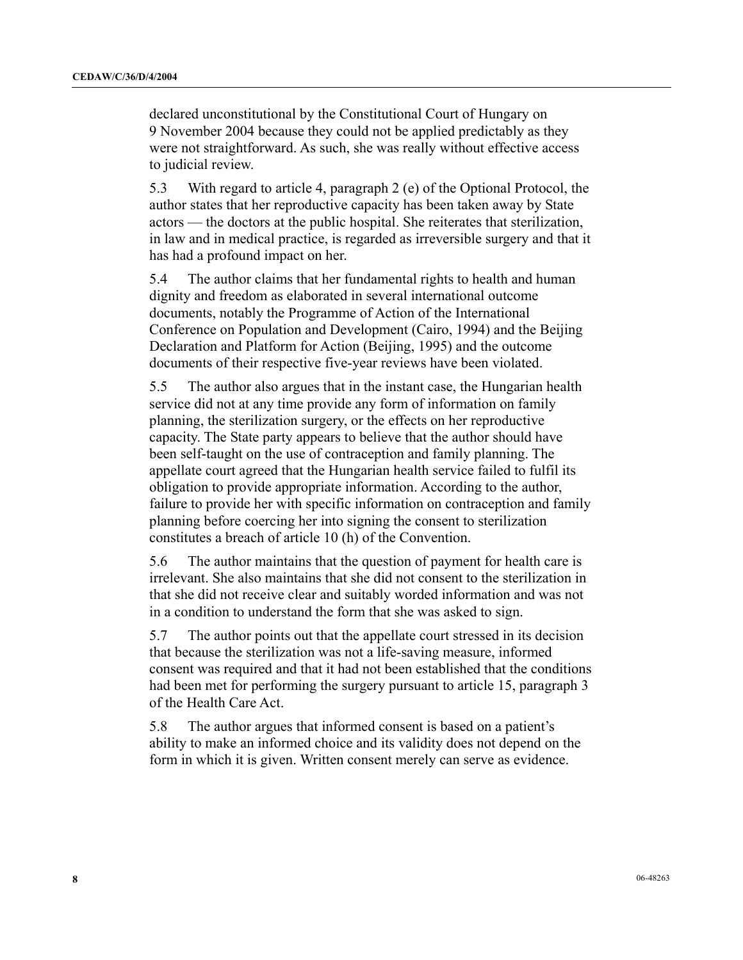declared unconstitutional by the Constitutional Court of Hungary on 9 November 2004 because they could not be applied predictably as they were not straightforward. As such, she was really without effective access to judicial review.

5.3 With regard to article 4, paragraph 2 (e) of the Optional Protocol, the author states that her reproductive capacity has been taken away by State actors — the doctors at the public hospital. She reiterates that sterilization, in law and in medical practice, is regarded as irreversible surgery and that it has had a profound impact on her.

5.4 The author claims that her fundamental rights to health and human dignity and freedom as elaborated in several international outcome documents, notably the Programme of Action of the International Conference on Population and Development (Cairo, 1994) and the Beijing Declaration and Platform for Action (Beijing, 1995) and the outcome documents of their respective five-year reviews have been violated.

5.5 The author also argues that in the instant case, the Hungarian health service did not at any time provide any form of information on family planning, the sterilization surgery, or the effects on her reproductive capacity. The State party appears to believe that the author should have been self-taught on the use of contraception and family planning. The appellate court agreed that the Hungarian health service failed to fulfil its obligation to provide appropriate information. According to the author, failure to provide her with specific information on contraception and family planning before coercing her into signing the consent to sterilization constitutes a breach of article 10 (h) of the Convention.

5.6 The author maintains that the question of payment for health care is irrelevant. She also maintains that she did not consent to the sterilization in that she did not receive clear and suitably worded information and was not in a condition to understand the form that she was asked to sign.

5.7 The author points out that the appellate court stressed in its decision that because the sterilization was not a life-saving measure, informed consent was required and that it had not been established that the conditions had been met for performing the surgery pursuant to article 15, paragraph 3 of the Health Care Act.

5.8 The author argues that informed consent is based on a patient's ability to make an informed choice and its validity does not depend on the form in which it is given. Written consent merely can serve as evidence.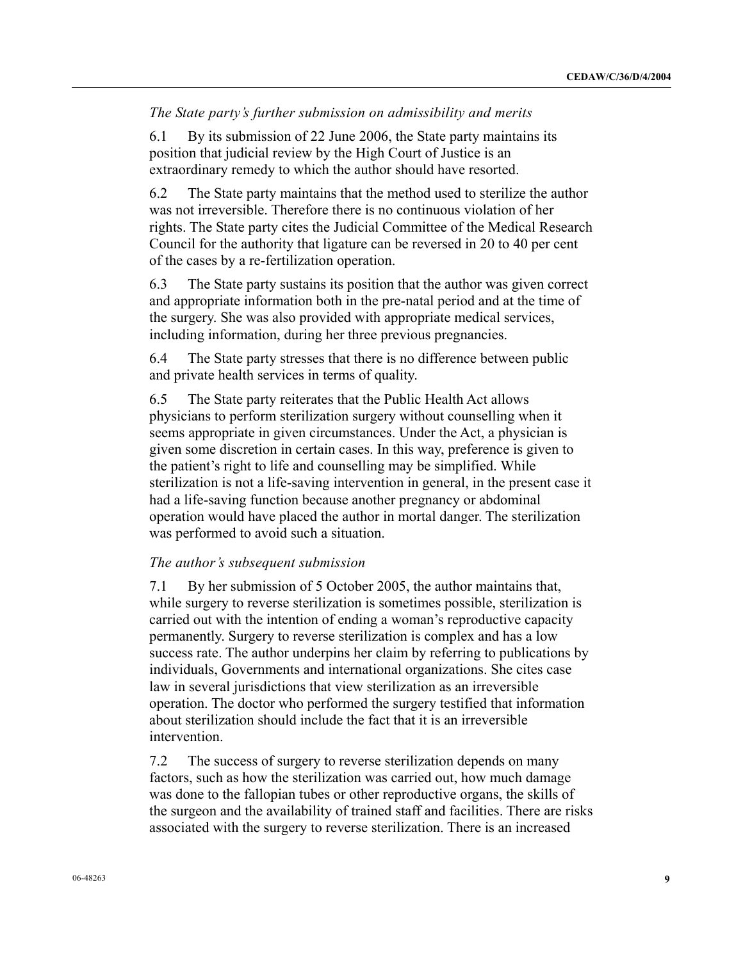## *The State party's further submission on admissibility and merits*

6.1 By its submission of 22 June 2006, the State party maintains its position that judicial review by the High Court of Justice is an extraordinary remedy to which the author should have resorted.

6.2 The State party maintains that the method used to sterilize the author was not irreversible. Therefore there is no continuous violation of her rights. The State party cites the Judicial Committee of the Medical Research Council for the authority that ligature can be reversed in 20 to 40 per cent of the cases by a re-fertilization operation.

6.3 The State party sustains its position that the author was given correct and appropriate information both in the pre-natal period and at the time of the surgery. She was also provided with appropriate medical services, including information, during her three previous pregnancies.

6.4 The State party stresses that there is no difference between public and private health services in terms of quality.

6.5 The State party reiterates that the Public Health Act allows physicians to perform sterilization surgery without counselling when it seems appropriate in given circumstances. Under the Act, a physician is given some discretion in certain cases. In this way, preference is given to the patient's right to life and counselling may be simplified. While sterilization is not a life-saving intervention in general, in the present case it had a life-saving function because another pregnancy or abdominal operation would have placed the author in mortal danger. The sterilization was performed to avoid such a situation.

#### *The author's subsequent submission*

7.1 By her submission of 5 October 2005, the author maintains that, while surgery to reverse sterilization is sometimes possible, sterilization is carried out with the intention of ending a woman's reproductive capacity permanently. Surgery to reverse sterilization is complex and has a low success rate. The author underpins her claim by referring to publications by individuals, Governments and international organizations. She cites case law in several jurisdictions that view sterilization as an irreversible operation. The doctor who performed the surgery testified that information about sterilization should include the fact that it is an irreversible intervention.

7.2 The success of surgery to reverse sterilization depends on many factors, such as how the sterilization was carried out, how much damage was done to the fallopian tubes or other reproductive organs, the skills of the surgeon and the availability of trained staff and facilities. There are risks associated with the surgery to reverse sterilization. There is an increased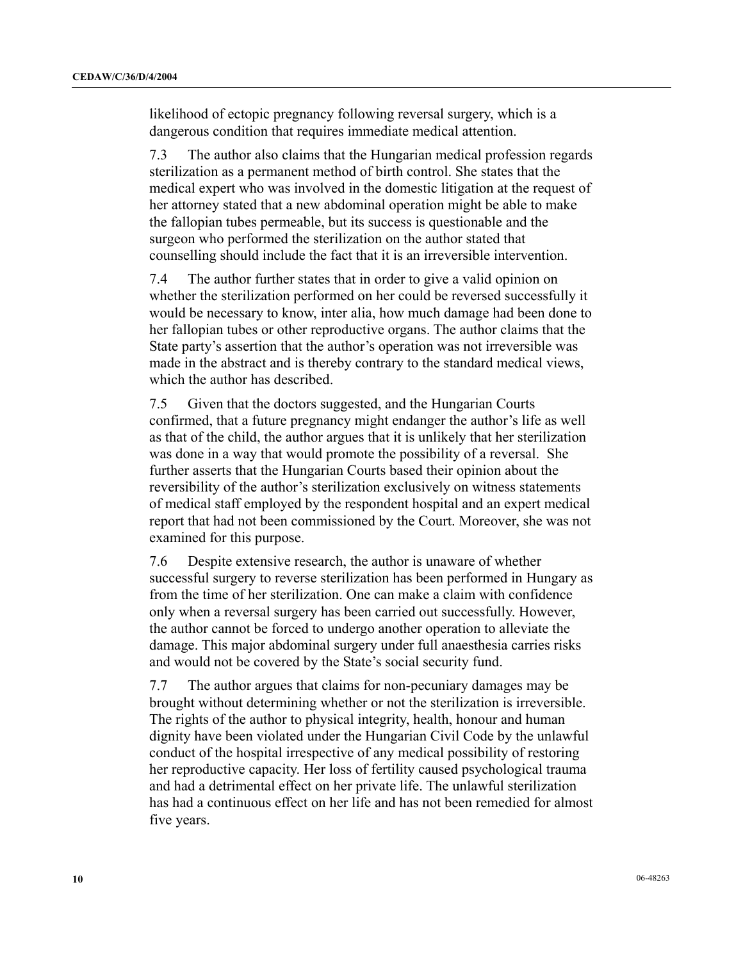likelihood of ectopic pregnancy following reversal surgery, which is a dangerous condition that requires immediate medical attention.

7.3 The author also claims that the Hungarian medical profession regards sterilization as a permanent method of birth control. She states that the medical expert who was involved in the domestic litigation at the request of her attorney stated that a new abdominal operation might be able to make the fallopian tubes permeable, but its success is questionable and the surgeon who performed the sterilization on the author stated that counselling should include the fact that it is an irreversible intervention.

7.4 The author further states that in order to give a valid opinion on whether the sterilization performed on her could be reversed successfully it would be necessary to know, inter alia, how much damage had been done to her fallopian tubes or other reproductive organs. The author claims that the State party's assertion that the author's operation was not irreversible was made in the abstract and is thereby contrary to the standard medical views, which the author has described.

7.5 Given that the doctors suggested, and the Hungarian Courts confirmed, that a future pregnancy might endanger the author's life as well as that of the child, the author argues that it is unlikely that her sterilization was done in a way that would promote the possibility of a reversal. She further asserts that the Hungarian Courts based their opinion about the reversibility of the author's sterilization exclusively on witness statements of medical staff employed by the respondent hospital and an expert medical report that had not been commissioned by the Court. Moreover, she was not examined for this purpose.

7.6 Despite extensive research, the author is unaware of whether successful surgery to reverse sterilization has been performed in Hungary as from the time of her sterilization. One can make a claim with confidence only when a reversal surgery has been carried out successfully. However, the author cannot be forced to undergo another operation to alleviate the damage. This major abdominal surgery under full anaesthesia carries risks and would not be covered by the State's social security fund.

7.7 The author argues that claims for non-pecuniary damages may be brought without determining whether or not the sterilization is irreversible. The rights of the author to physical integrity, health, honour and human dignity have been violated under the Hungarian Civil Code by the unlawful conduct of the hospital irrespective of any medical possibility of restoring her reproductive capacity. Her loss of fertility caused psychological trauma and had a detrimental effect on her private life. The unlawful sterilization has had a continuous effect on her life and has not been remedied for almost five years.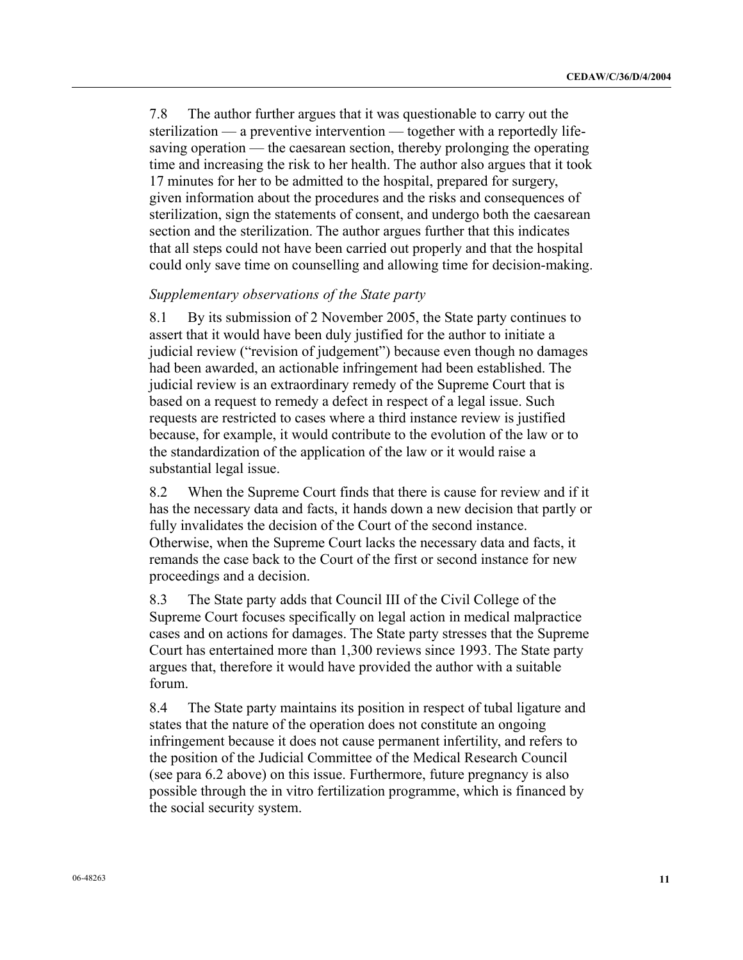7.8 The author further argues that it was questionable to carry out the sterilization — a preventive intervention — together with a reportedly lifesaving operation — the caesarean section, thereby prolonging the operating time and increasing the risk to her health. The author also argues that it took 17 minutes for her to be admitted to the hospital, prepared for surgery, given information about the procedures and the risks and consequences of sterilization, sign the statements of consent, and undergo both the caesarean section and the sterilization. The author argues further that this indicates that all steps could not have been carried out properly and that the hospital could only save time on counselling and allowing time for decision-making.

## *Supplementary observations of the State party*

8.1 By its submission of 2 November 2005, the State party continues to assert that it would have been duly justified for the author to initiate a judicial review ("revision of judgement") because even though no damages had been awarded, an actionable infringement had been established. The judicial review is an extraordinary remedy of the Supreme Court that is based on a request to remedy a defect in respect of a legal issue. Such requests are restricted to cases where a third instance review is justified because, for example, it would contribute to the evolution of the law or to the standardization of the application of the law or it would raise a substantial legal issue.

8.2 When the Supreme Court finds that there is cause for review and if it has the necessary data and facts, it hands down a new decision that partly or fully invalidates the decision of the Court of the second instance. Otherwise, when the Supreme Court lacks the necessary data and facts, it remands the case back to the Court of the first or second instance for new proceedings and a decision.

8.3 The State party adds that Council III of the Civil College of the Supreme Court focuses specifically on legal action in medical malpractice cases and on actions for damages. The State party stresses that the Supreme Court has entertained more than 1,300 reviews since 1993. The State party argues that, therefore it would have provided the author with a suitable forum.

8.4 The State party maintains its position in respect of tubal ligature and states that the nature of the operation does not constitute an ongoing infringement because it does not cause permanent infertility, and refers to the position of the Judicial Committee of the Medical Research Council (see para 6.2 above) on this issue. Furthermore, future pregnancy is also possible through the in vitro fertilization programme, which is financed by the social security system.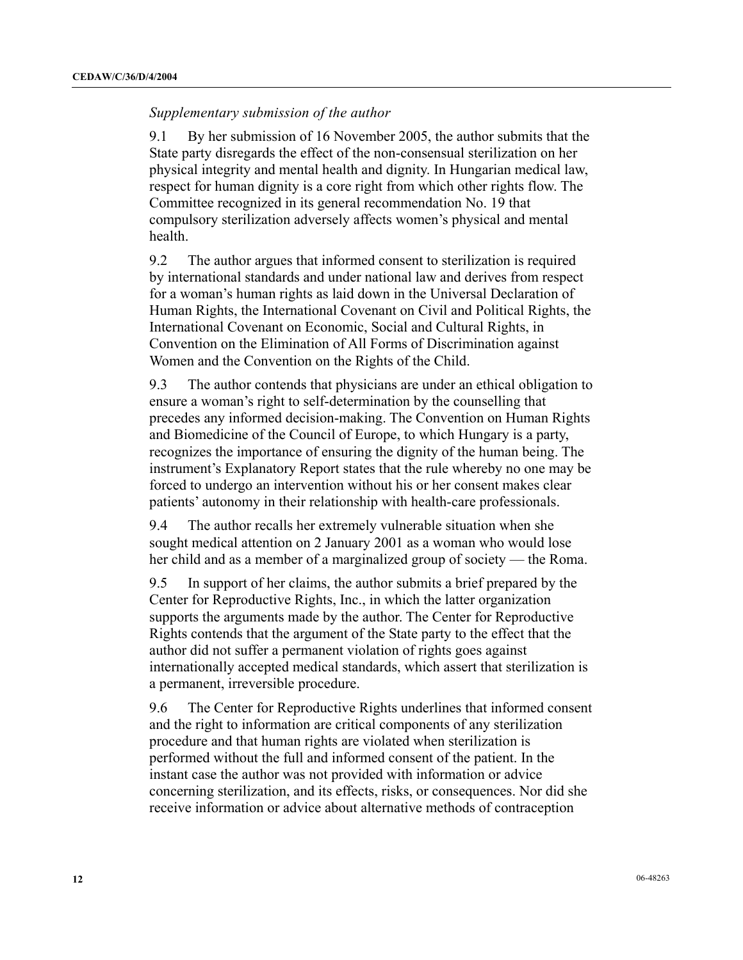## *Supplementary submission of the author*

9.1 By her submission of 16 November 2005, the author submits that the State party disregards the effect of the non-consensual sterilization on her physical integrity and mental health and dignity. In Hungarian medical law, respect for human dignity is a core right from which other rights flow. The Committee recognized in its general recommendation No. 19 that compulsory sterilization adversely affects women's physical and mental health.

9.2 The author argues that informed consent to sterilization is required by international standards and under national law and derives from respect for a woman's human rights as laid down in the Universal Declaration of Human Rights, the International Covenant on Civil and Political Rights, the International Covenant on Economic, Social and Cultural Rights, in Convention on the Elimination of All Forms of Discrimination against Women and the Convention on the Rights of the Child.

9.3 The author contends that physicians are under an ethical obligation to ensure a woman's right to self-determination by the counselling that precedes any informed decision-making. The Convention on Human Rights and Biomedicine of the Council of Europe, to which Hungary is a party, recognizes the importance of ensuring the dignity of the human being. The instrument's Explanatory Report states that the rule whereby no one may be forced to undergo an intervention without his or her consent makes clear patients' autonomy in their relationship with health-care professionals.

9.4 The author recalls her extremely vulnerable situation when she sought medical attention on 2 January 2001 as a woman who would lose her child and as a member of a marginalized group of society — the Roma.

9.5 In support of her claims, the author submits a brief prepared by the Center for Reproductive Rights, Inc., in which the latter organization supports the arguments made by the author. The Center for Reproductive Rights contends that the argument of the State party to the effect that the author did not suffer a permanent violation of rights goes against internationally accepted medical standards, which assert that sterilization is a permanent, irreversible procedure.

9.6 The Center for Reproductive Rights underlines that informed consent and the right to information are critical components of any sterilization procedure and that human rights are violated when sterilization is performed without the full and informed consent of the patient. In the instant case the author was not provided with information or advice concerning sterilization, and its effects, risks, or consequences. Nor did she receive information or advice about alternative methods of contraception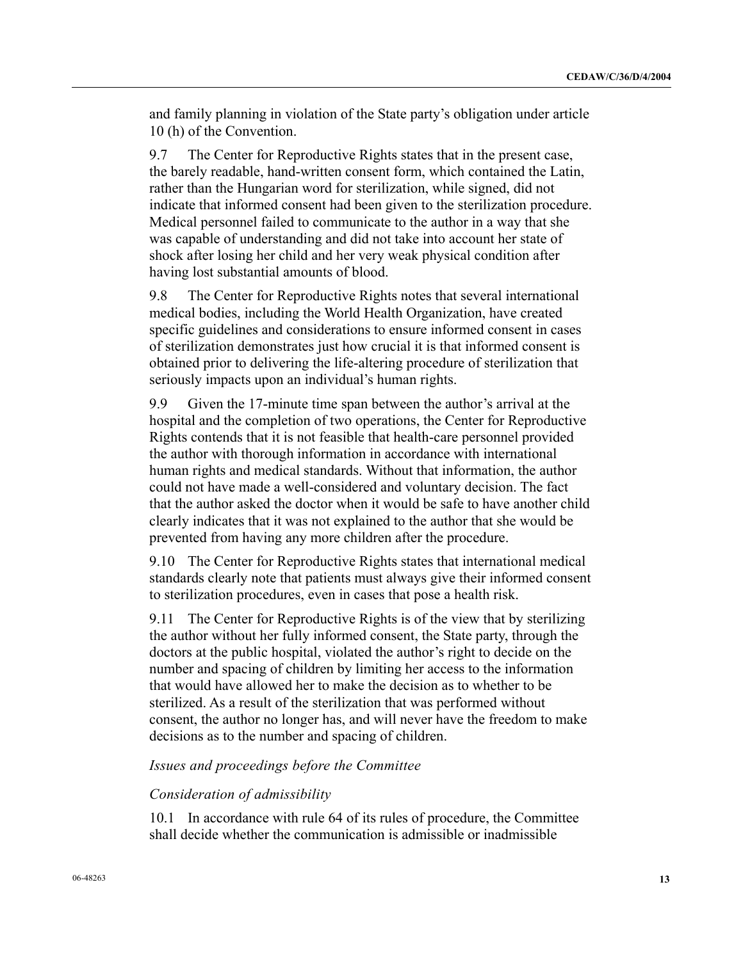and family planning in violation of the State party's obligation under article 10 (h) of the Convention.

9.7 The Center for Reproductive Rights states that in the present case, the barely readable, hand-written consent form, which contained the Latin, rather than the Hungarian word for sterilization, while signed, did not indicate that informed consent had been given to the sterilization procedure. Medical personnel failed to communicate to the author in a way that she was capable of understanding and did not take into account her state of shock after losing her child and her very weak physical condition after having lost substantial amounts of blood.

9.8 The Center for Reproductive Rights notes that several international medical bodies, including the World Health Organization, have created specific guidelines and considerations to ensure informed consent in cases of sterilization demonstrates just how crucial it is that informed consent is obtained prior to delivering the life-altering procedure of sterilization that seriously impacts upon an individual's human rights.

9.9 Given the 17-minute time span between the author's arrival at the hospital and the completion of two operations, the Center for Reproductive Rights contends that it is not feasible that health-care personnel provided the author with thorough information in accordance with international human rights and medical standards. Without that information, the author could not have made a well-considered and voluntary decision. The fact that the author asked the doctor when it would be safe to have another child clearly indicates that it was not explained to the author that she would be prevented from having any more children after the procedure.

9.10 The Center for Reproductive Rights states that international medical standards clearly note that patients must always give their informed consent to sterilization procedures, even in cases that pose a health risk.

9.11 The Center for Reproductive Rights is of the view that by sterilizing the author without her fully informed consent, the State party, through the doctors at the public hospital, violated the author's right to decide on the number and spacing of children by limiting her access to the information that would have allowed her to make the decision as to whether to be sterilized. As a result of the sterilization that was performed without consent, the author no longer has, and will never have the freedom to make decisions as to the number and spacing of children.

## *Issues and proceedings before the Committee*

#### *Consideration of admissibility*

10.1 In accordance with rule 64 of its rules of procedure, the Committee shall decide whether the communication is admissible or inadmissible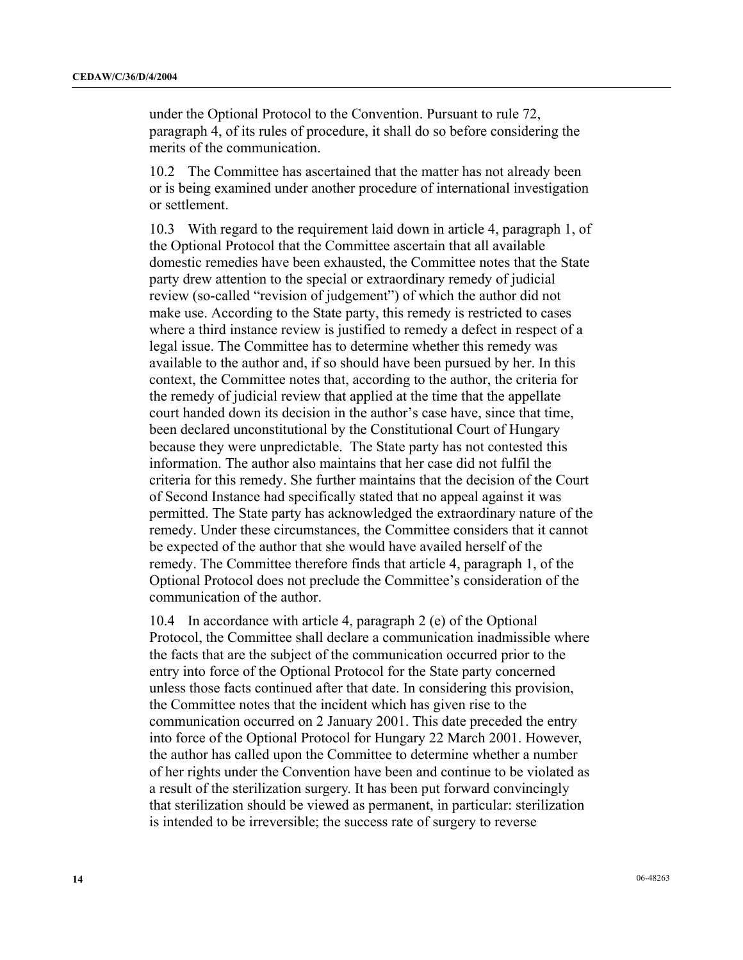under the Optional Protocol to the Convention. Pursuant to rule 72, paragraph 4, of its rules of procedure, it shall do so before considering the merits of the communication.

10.2 The Committee has ascertained that the matter has not already been or is being examined under another procedure of international investigation or settlement.

10.3 With regard to the requirement laid down in article 4, paragraph 1, of the Optional Protocol that the Committee ascertain that all available domestic remedies have been exhausted, the Committee notes that the State party drew attention to the special or extraordinary remedy of judicial review (so-called "revision of judgement") of which the author did not make use. According to the State party, this remedy is restricted to cases where a third instance review is justified to remedy a defect in respect of a legal issue. The Committee has to determine whether this remedy was available to the author and, if so should have been pursued by her. In this context, the Committee notes that, according to the author, the criteria for the remedy of judicial review that applied at the time that the appellate court handed down its decision in the author's case have, since that time, been declared unconstitutional by the Constitutional Court of Hungary because they were unpredictable. The State party has not contested this information. The author also maintains that her case did not fulfil the criteria for this remedy. She further maintains that the decision of the Court of Second Instance had specifically stated that no appeal against it was permitted. The State party has acknowledged the extraordinary nature of the remedy. Under these circumstances, the Committee considers that it cannot be expected of the author that she would have availed herself of the remedy. The Committee therefore finds that article 4, paragraph 1, of the Optional Protocol does not preclude the Committee's consideration of the communication of the author.

10.4 In accordance with article 4, paragraph 2 (e) of the Optional Protocol, the Committee shall declare a communication inadmissible where the facts that are the subject of the communication occurred prior to the entry into force of the Optional Protocol for the State party concerned unless those facts continued after that date. In considering this provision, the Committee notes that the incident which has given rise to the communication occurred on 2 January 2001. This date preceded the entry into force of the Optional Protocol for Hungary 22 March 2001. However, the author has called upon the Committee to determine whether a number of her rights under the Convention have been and continue to be violated as a result of the sterilization surgery. It has been put forward convincingly that sterilization should be viewed as permanent, in particular: sterilization is intended to be irreversible; the success rate of surgery to reverse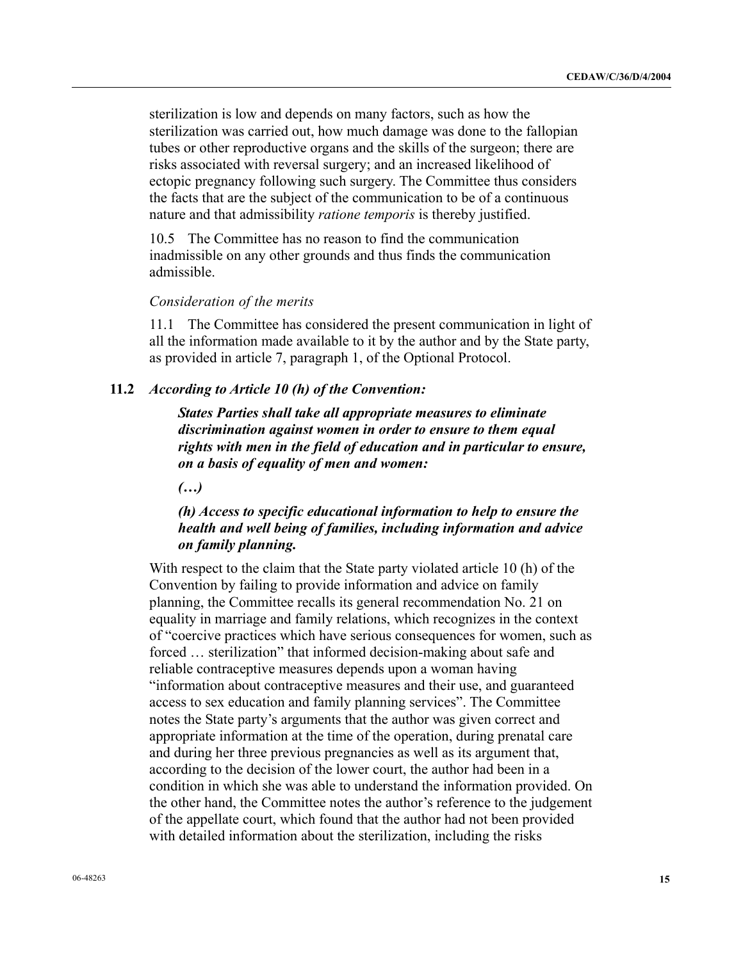sterilization is low and depends on many factors, such as how the sterilization was carried out, how much damage was done to the fallopian tubes or other reproductive organs and the skills of the surgeon; there are risks associated with reversal surgery; and an increased likelihood of ectopic pregnancy following such surgery. The Committee thus considers the facts that are the subject of the communication to be of a continuous nature and that admissibility *ratione temporis* is thereby justified.

10.5 The Committee has no reason to find the communication inadmissible on any other grounds and thus finds the communication admissible.

#### *Consideration of the merits*

11.1 The Committee has considered the present communication in light of all the information made available to it by the author and by the State party, as provided in article 7, paragraph 1, of the Optional Protocol.

### **11.2** *According to Article 10 (h) of the Convention:*

*States Parties shall take all appropriate measures to eliminate discrimination against women in order to ensure to them equal rights with men in the field of education and in particular to ensure, on a basis of equality of men and women:* 

*(…)* 

## *(h) Access to specific educational information to help to ensure the health and well being of families, including information and advice on family planning.*

With respect to the claim that the State party violated article 10 (h) of the Convention by failing to provide information and advice on family planning, the Committee recalls its general recommendation No. 21 on equality in marriage and family relations, which recognizes in the context of "coercive practices which have serious consequences for women, such as forced … sterilization" that informed decision-making about safe and reliable contraceptive measures depends upon a woman having "information about contraceptive measures and their use, and guaranteed access to sex education and family planning services". The Committee notes the State party's arguments that the author was given correct and appropriate information at the time of the operation, during prenatal care and during her three previous pregnancies as well as its argument that, according to the decision of the lower court, the author had been in a condition in which she was able to understand the information provided. On the other hand, the Committee notes the author's reference to the judgement of the appellate court, which found that the author had not been provided with detailed information about the sterilization, including the risks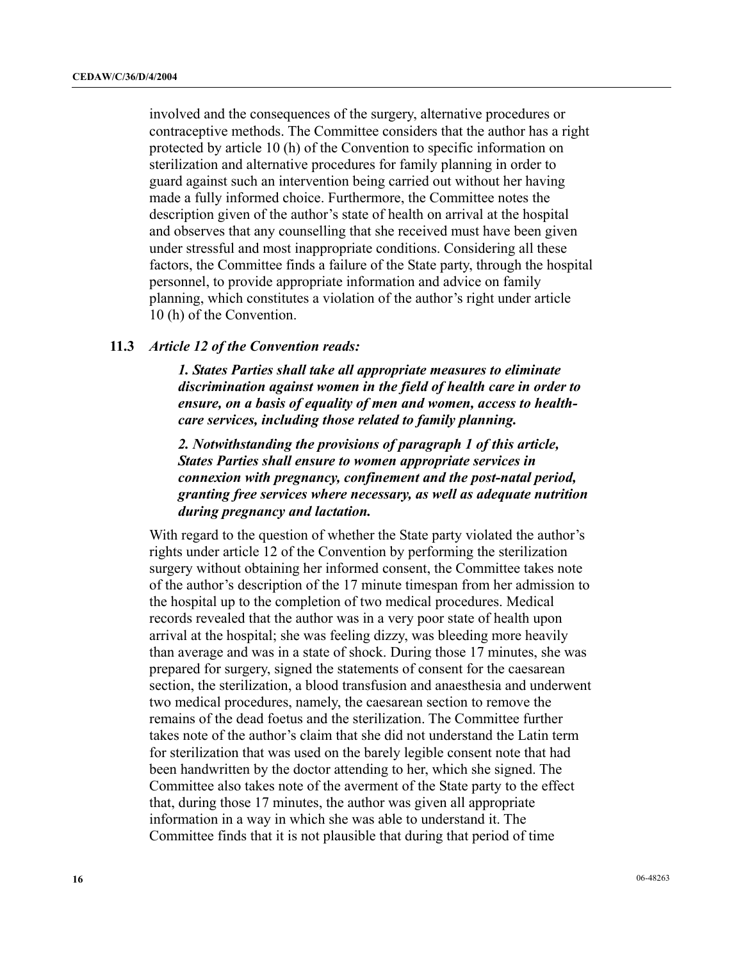involved and the consequences of the surgery, alternative procedures or contraceptive methods. The Committee considers that the author has a right protected by article 10 (h) of the Convention to specific information on sterilization and alternative procedures for family planning in order to guard against such an intervention being carried out without her having made a fully informed choice. Furthermore, the Committee notes the description given of the author's state of health on arrival at the hospital and observes that any counselling that she received must have been given under stressful and most inappropriate conditions. Considering all these factors, the Committee finds a failure of the State party, through the hospital personnel, to provide appropriate information and advice on family planning, which constitutes a violation of the author's right under article 10 (h) of the Convention.

## **11.3** *Article 12 of the Convention reads:*

*1. States Parties shall take all appropriate measures to eliminate discrimination against women in the field of health care in order to ensure, on a basis of equality of men and women, access to healthcare services, including those related to family planning.* 

*2. Notwithstanding the provisions of paragraph 1 of this article, States Parties shall ensure to women appropriate services in connexion with pregnancy, confinement and the post-natal period, granting free services where necessary, as well as adequate nutrition during pregnancy and lactation.* 

With regard to the question of whether the State party violated the author's rights under article 12 of the Convention by performing the sterilization surgery without obtaining her informed consent, the Committee takes note of the author's description of the 17 minute timespan from her admission to the hospital up to the completion of two medical procedures. Medical records revealed that the author was in a very poor state of health upon arrival at the hospital; she was feeling dizzy, was bleeding more heavily than average and was in a state of shock. During those 17 minutes, she was prepared for surgery, signed the statements of consent for the caesarean section, the sterilization, a blood transfusion and anaesthesia and underwent two medical procedures, namely, the caesarean section to remove the remains of the dead foetus and the sterilization. The Committee further takes note of the author's claim that she did not understand the Latin term for sterilization that was used on the barely legible consent note that had been handwritten by the doctor attending to her, which she signed. The Committee also takes note of the averment of the State party to the effect that, during those 17 minutes, the author was given all appropriate information in a way in which she was able to understand it. The Committee finds that it is not plausible that during that period of time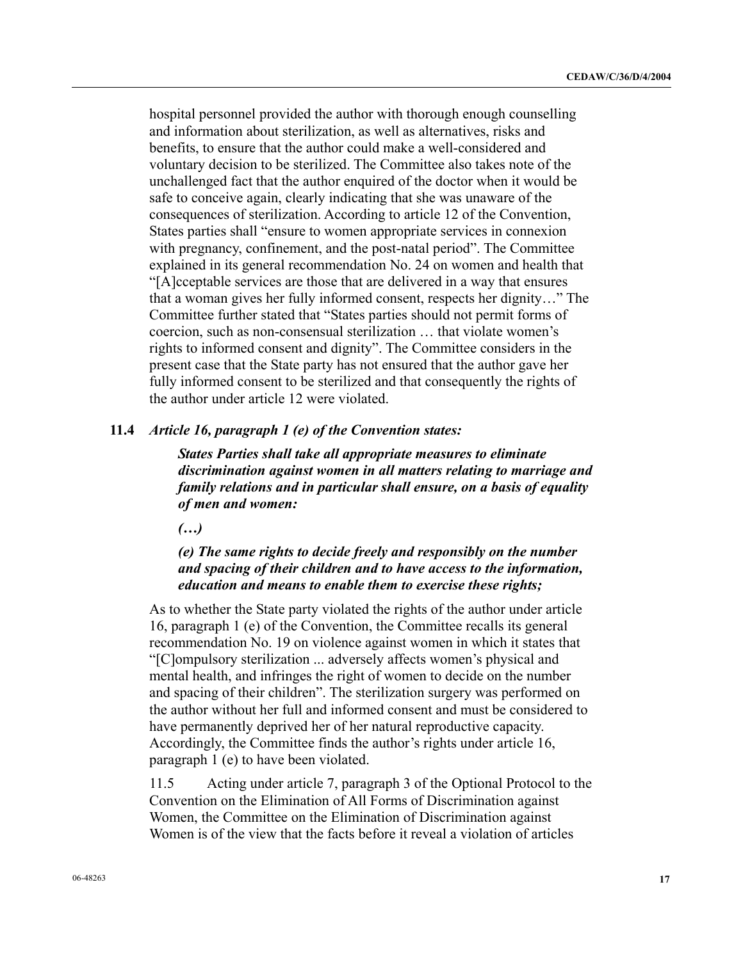hospital personnel provided the author with thorough enough counselling and information about sterilization, as well as alternatives, risks and benefits, to ensure that the author could make a well-considered and voluntary decision to be sterilized. The Committee also takes note of the unchallenged fact that the author enquired of the doctor when it would be safe to conceive again, clearly indicating that she was unaware of the consequences of sterilization. According to article 12 of the Convention, States parties shall "ensure to women appropriate services in connexion with pregnancy, confinement, and the post-natal period". The Committee explained in its general recommendation No. 24 on women and health that "[A]cceptable services are those that are delivered in a way that ensures that a woman gives her fully informed consent, respects her dignity…" The Committee further stated that "States parties should not permit forms of coercion, such as non-consensual sterilization … that violate women's rights to informed consent and dignity". The Committee considers in the present case that the State party has not ensured that the author gave her fully informed consent to be sterilized and that consequently the rights of the author under article 12 were violated.

## **11.4** *Article 16, paragraph 1 (e) of the Convention states:*

*States Parties shall take all appropriate measures to eliminate discrimination against women in all matters relating to marriage and family relations and in particular shall ensure, on a basis of equality of men and women:* 

*(…)* 

## *(e) The same rights to decide freely and responsibly on the number and spacing of their children and to have access to the information, education and means to enable them to exercise these rights;*

As to whether the State party violated the rights of the author under article 16, paragraph 1 (e) of the Convention, the Committee recalls its general recommendation No. 19 on violence against women in which it states that "[C]ompulsory sterilization ... adversely affects women's physical and mental health, and infringes the right of women to decide on the number and spacing of their children". The sterilization surgery was performed on the author without her full and informed consent and must be considered to have permanently deprived her of her natural reproductive capacity. Accordingly, the Committee finds the author's rights under article 16, paragraph 1 (e) to have been violated.

11.5 Acting under article 7, paragraph 3 of the Optional Protocol to the Convention on the Elimination of All Forms of Discrimination against Women, the Committee on the Elimination of Discrimination against Women is of the view that the facts before it reveal a violation of articles